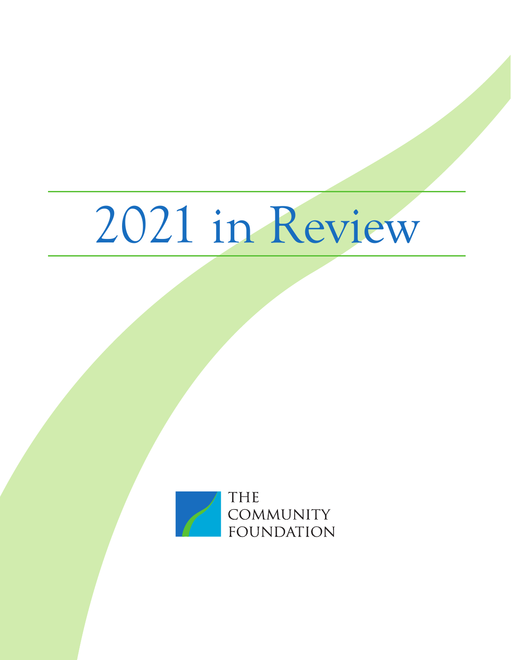# 2021 in Review

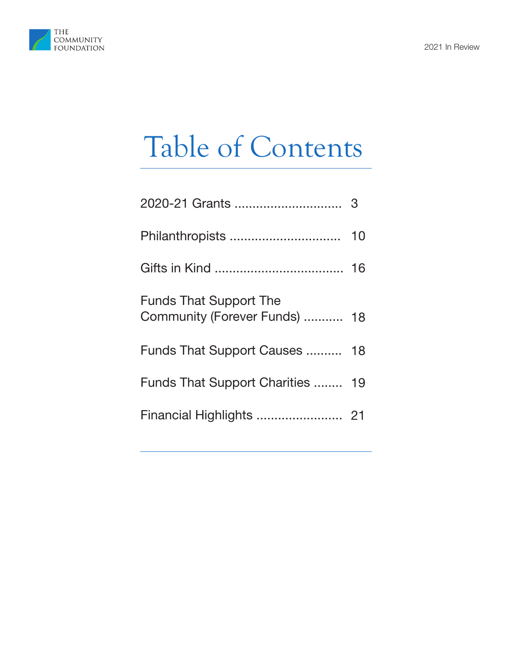

## Table of Contents

|                                                                | 10 |
|----------------------------------------------------------------|----|
|                                                                | 16 |
| <b>Funds That Support The</b><br>Community (Forever Funds)  18 |    |
| Funds That Support Causes  18                                  |    |
| Funds That Support Charities  19                               |    |
|                                                                |    |
|                                                                |    |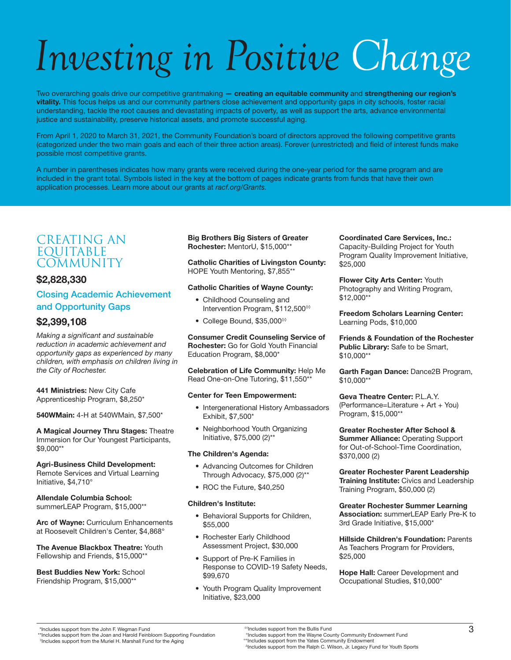## *Investing in Positive Change*

Two overarching goals drive our competitive grantmaking - creating an equitable community and strengthening our region's vitality. This focus helps us and our community partners close achievement and opportunity gaps in city schools, foster racial understanding, tackle the root causes and devastating impacts of poverty, as well as support the arts, advance environmental justice and sustainability, preserve historical assets, and promote successful aging.

From April 1, 2020 to March 31, 2021, the Community Foundation's board of directors approved the following competitive grants (categorized under the two main goals and each of their three action areas). Forever (unrestricted) and field of interest funds make possible most competitive grants.

A number in parentheses indicates how many grants were received during the one-year period for the same program and are included in the grant total. Symbols listed in the key at the bottom of pages indicate grants from funds that have their own application processes. Learn more about our grants at *racf.org/Grants.*

#### CREATING AN EQUITABLE **COMMUNITY**

#### \$2,828,330

#### Closing Academic Achievement and Opportunity Gaps

#### \$2,399,108

*Making a significant and sustainable reduction in academic achievement and opportunity gaps as experienced by many children, with emphasis on children living in the City of Rochester.*

441 Ministries: New City Cafe Apprenticeship Program, \$8,250\*

540WMain: 4-H at 540WMain, \$7,500\*

A Magical Journey Thru Stages: Theatre Immersion for Our Youngest Participants, \$9,000\*\*

Agri-Business Child Development: Remote Services and Virtual Learning Initiative, \$4,710°

Allendale Columbia School: summerLEAP Program, \$15,000\*\*

Arc of Wayne: Curriculum Enhancements at Roosevelt Children's Center, \$4,868°

The Avenue Blackbox Theatre: Youth Fellowship and Friends, \$15,000\*\*

Best Buddies New York: School Friendship Program, \$15,000\*\*

Big Brothers Big Sisters of Greater Rochester: MentorU, \$15,000\*\*

Catholic Charities of Livingston County: HOPE Youth Mentoring, \$7,855\*\*

#### Catholic Charities of Wayne County:

- Childhood Counseling and Intervention Program, \$112,500◊◊
- College Bound, \$35,000◊◊

Consumer Credit Counseling Service of Rochester: Go for Gold Youth Financial Education Program, \$8,000\*

Celebration of Life Community: Help Me Read One-on-One Tutoring, \$11,550\*\*

#### Center for Teen Empowerment:

- Intergenerational History Ambassadors Exhibit, \$7,500\*
- Neighborhood Youth Organizing Initiative, \$75,000 (2)\*\*

#### The Children's Agenda:

- Advancing Outcomes for Children Through Advocacy, \$75,000 (2)\*\*
- ROC the Future, \$40,250

#### Children's Institute:

- Behavioral Supports for Children, \$55,000
- Rochester Early Childhood Assessment Project, \$30,000
- Support of Pre-K Families in Response to COVID-19 Safety Needs, \$99,670
- Youth Program Quality Improvement Initiative, \$23,000

Coordinated Care Services, Inc.: Capacity-Building Project for Youth Program Quality Improvement Initiative, \$25,000

Flower City Arts Center: Youth Photography and Writing Program, \$12,000\*\*

Freedom Scholars Learning Center: Learning Pods, \$10,000

Friends & Foundation of the Rochester Public Library: Safe to be Smart, \$10,000\*\*

Garth Fagan Dance: Dance2B Program, \$10,000\*\*

Geva Theatre Center: P.L.A.Y. (Performance=Literature + Art + You) Program, \$15,000\*\*

Greater Rochester After School & Summer Alliance: Operating Support for Out-of-School-Time Coordination, \$370,000 (2)

Greater Rochester Parent Leadership Training Institute: Civics and Leadership Training Program, \$50,000 (2)

#### Greater Rochester Summer Learning Association: summerLEAP Early Pre-K to

3rd Grade Initiative, \$15,000\*

Hillside Children's Foundation: Parents As Teachers Program for Providers, \$25,000

Hope Hall: Career Development and Occupational Studies, \$10,000\*

<sup>0</sup>Includes support from the Muriel H. Marshall Fund for the Aging

∆Includes support from the Ralph C. Wilson, Jr. Legacy Fund for Youth Sports

<sup>&</sup>quot;Includes support from the John F. Wegman Fund<br>\*\*Includes support from the Joan and Harold Feinbloom Supporting Foundation (and the Sullis Fund metallis Fund<br>Nucludes support from the Muriel H. Marshall Fund for the Aqing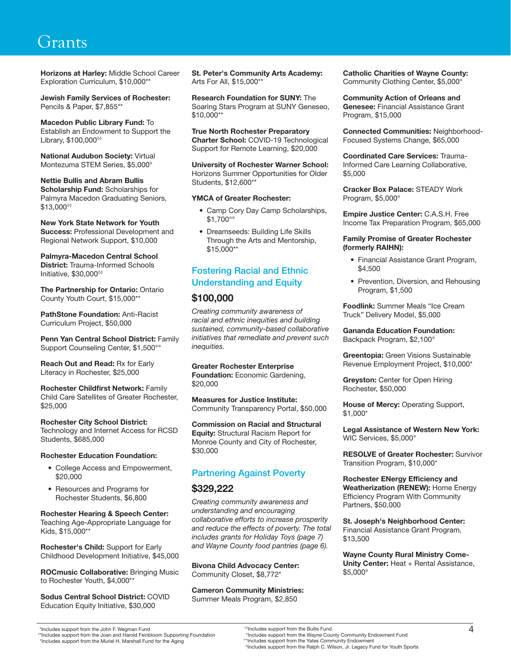Horizons at Harley: Middle School Career Exploration Curriculum, \$10,000\*\*

Jewish Family Services of Rochester: Pencils & Paper, \$7,855\*\*

Macedon Public Library Fund: To Establish an Endowment to Support the Library, \$100,000◊◊

National Audubon Society: Virtual Montezuma STEM Series, \$5,000°

Nettie Bullis and Abram Bullis Scholarship Fund: Scholarships for Palmyra Macedon Graduating Seniors, \$13,000◊◊

New York State Network for Youth Success: Professional Development and Regional Network Support, \$10,000

Palmyra-Macedon Central School District: Trauma-Informed Schools Initiative, \$30,000◊◊

The Partnership for Ontario: Ontario County Youth Court, \$15,000\*\*

PathStone Foundation: Anti-Racist Curriculum Project, \$50,000

Penn Yan Central School District: Family Support Counseling Center, \$1,500°°

Reach Out and Read: Rx for Early Literacy in Rochester, \$25,000

Rochester Childfirst Network: Family Child Care Satellites of Greater Rochester, \$25,000

Rochester City School District: Technology and Internet Access for RCSD Students, \$685,000

#### Rochester Education Foundation:

- College Access and Empowerment, \$20,000
- Resources and Programs for Rochester Students, \$6,800

Rochester Hearing & Speech Center: Teaching Age-Appropriate Language for Kids, \$15,000\*\*

Rochester's Child: Support for Early Childhood Development Initiative, \$45,000

ROCmusic Collaborative: Bringing Music to Rochester Youth, \$4,000\*\*

Sodus Central School District: COVID Education Equity Initiative, \$30,000

St. Peter's Community Arts Academy: Arts For All, \$15,000\*\*

Research Foundation for SUNY: The Soaring Stars Program at SUNY Geneseo, \$10,000\*\*

True North Rochester Preparatory Charter School: COVID-19 Technological Support for Remote Learning, \$20,000

University of Rochester Warner School: Horizons Summer Opportunities for Older Students, \$12,600\*\*

#### YMCA of Greater Rochester:

- Camp Cory Day Camp Scholarships, \$1,700°°
- Dreamseeds: Building Life Skills Through the Arts and Mentorship, \$15,000\*\*

#### Fostering Racial and Ethnic Understanding and Equity

#### \$100,000

*Creating community awareness of racial and ethnic inequities and building sustained, community-based collaborative initiatives that remediate and prevent such inequities.*

Greater Rochester Enterprise **Foundation:** Economic Gardening. \$20,000

Measures for Justice Institute: Community Transparency Portal, \$50,000

Commission on Racial and Structural **Equity: Structural Racism Report for** Monroe County and City of Rochester, \$30,000

#### Partnering Against Poverty

#### \$329,222

*Creating community awareness and understanding and encouraging collaborative efforts to increase prosperity and reduce the effects of poverty. The total includes grants for Holiday Toys (page 7) and Wayne County food pantries (page 6).*

Bivona Child Advocacy Center: Community Closet, \$8,772\*

Cameron Community Ministries: Summer Meals Program, \$2,850

Catholic Charities of Wayne County: Community Clothing Center, \$5,000°

Community Action of Orleans and Genesee: Financial Assistance Grant Program, \$15,000

Connected Communities: Neighborhood-Focused Systems Change, \$65,000

Coordinated Care Services: Trauma-Informed Care Learning Collaborative, \$5,000

Cracker Box Palace: STEADY Work Program, \$5,000°

Empire Justice Center: C.A.S.H. Free Income Tax Preparation Program, \$65,000

#### Family Promise of Greater Rochester (formerly RAIHN):

- Financial Assistance Grant Program, \$4,500
- Prevention, Diversion, and Rehousing Program, \$1,500

Foodlink: Summer Meals "Ice Cream Truck" Delivery Model, \$5,000

Gananda Education Foundation: Backpack Program, \$2,100°

Greentopia: Green Visions Sustainable Revenue Employment Project, \$10,000\*

Greyston: Center for Open Hiring Rochester, \$50,000

House of Mercy: Operating Support, \$1,000\*

Legal Assistance of Western New York: WIC Services, \$5,000°

RESOLVE of Greater Rochester: Survivor Transition Program, \$10,000\*

Rochester ENergy Efficiency and Weatherization (RENEW): Home Energy Efficiency Program With Community Partners, \$50,000

St. Joseph's Neighborhood Center: Financial Assistance Grant Program, \$13,500

Wayne County Rural Ministry Come-Unity Center: Heat + Rental Assistance, \$5,000°

<sup>0</sup>Includes support from the Muriel H. Marshall Fund for the Aging

∆Includes support from the Ralph C. Wilson, Jr. Legacy Fund for Youth Sports

<sup>1/1</sup> ncludes support from the John F. Wegman Fund<br>\*\*Includes support from the Joan and Harold Feinbloom Supporting Foundation (10)<br>The Values support from the Muriel H. Marshall Fund for the Aqing (10) or the Colludes suppo ◊◊Includes support from the Bullis Fund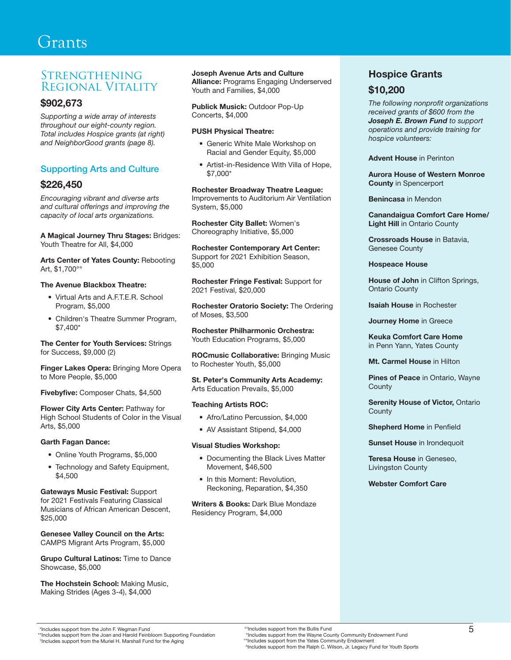#### **STRENGTHENING** Regional Vitality

#### \$902,673

*Supporting a wide array of interests throughout our eight-county region. Total includes Hospice grants (at right) and NeighborGood grants (page 8).*

#### Supporting Arts and Culture

#### \$226,450

*Encouraging vibrant and diverse arts and cultural offerings and improving the capacity of local arts organizations.*

A Magical Journey Thru Stages: Bridges: Youth Theatre for All, \$4,000

Arts Center of Yates County: Rebooting Art, \$1,700°°

#### The Avenue Blackbox Theatre:

- Virtual Arts and A.F.T.E.R. School Program, \$5,000
- Children's Theatre Summer Program, \$7,400\*

The Center for Youth Services: Strings for Success, \$9,000 (2)

Finger Lakes Opera: Bringing More Opera to More People, \$5,000

Fivebyfive: Composer Chats, \$4,500

Flower City Arts Center: Pathway for High School Students of Color in the Visual Arts, \$5,000

#### Garth Fagan Dance:

- Online Youth Programs, \$5,000
- Technology and Safety Equipment, \$4,500

Gateways Music Festival: Support for 2021 Festivals Featuring Classical Musicians of African American Descent, \$25,000

Genesee Valley Council on the Arts: CAMPS Migrant Arts Program, \$5,000

Grupo Cultural Latinos: Time to Dance Showcase, \$5,000

The Hochstein School: Making Music, Making Strides (Ages 3-4), \$4,000

#### Joseph Avenue Arts and Culture

**Alliance: Programs Engaging Underserved** Youth and Families, \$4,000

Publick Musick: Outdoor Pop-Up Concerts, \$4,000

#### PUSH Physical Theatre:

- Generic White Male Workshop on Racial and Gender Equity, \$5,000
- Artist-in-Residence With Villa of Hope, \$7,000\*

Rochester Broadway Theatre League: Improvements to Auditorium Air Ventilation System, \$5,000

Rochester City Ballet: Women's Choreography Initiative, \$5,000

Rochester Contemporary Art Center: Support for 2021 Exhibition Season, \$5,000

Rochester Fringe Festival: Support for 2021 Festival, \$20,000

Rochester Oratorio Society: The Ordering of Moses, \$3,500

Rochester Philharmonic Orchestra: Youth Education Programs, \$5,000

ROCmusic Collaborative: Bringing Music to Rochester Youth, \$5,000

St. Peter's Community Arts Academy: Arts Education Prevails, \$5,000

#### Teaching Artists ROC:

- Afro/Latino Percussion, \$4,000
- AV Assistant Stipend, \$4,000

#### Visual Studies Workshop:

- Documenting the Black Lives Matter Movement, \$46,500
- In this Moment: Revolution, Reckoning, Reparation, \$4,350

Writers & Books: Dark Blue Mondaze Residency Program, \$4,000

#### Hospice Grants

#### \$10,200

*The following nonprofit organizations received grants of \$600 from the Joseph E. Brown Fund to support operations and provide training for hospice volunteers:*

Advent House in Perinton

Aurora House of Western Monroe County in Spencerport

Benincasa in Mendon

Canandaigua Comfort Care Home/ Light Hill in Ontario County

Crossroads House in Batavia, Genesee County

Hospeace House

House of John in Clifton Springs, Ontario County

Isaiah House in Rochester

Journey Home in Greece

Keuka Comfort Care Home in Penn Yann, Yates County

Mt. Carmel House in Hilton

Pines of Peace in Ontario, Wayne **County** 

**Serenity House of Victor, Ontario County** 

Shepherd Home in Penfield

Sunset House in Irondequoit

Teresa House in Geneseo, Livingston County

Webster Comfort Care

<sup>0</sup>Includes support from the Muriel H. Marshall Fund for the Aging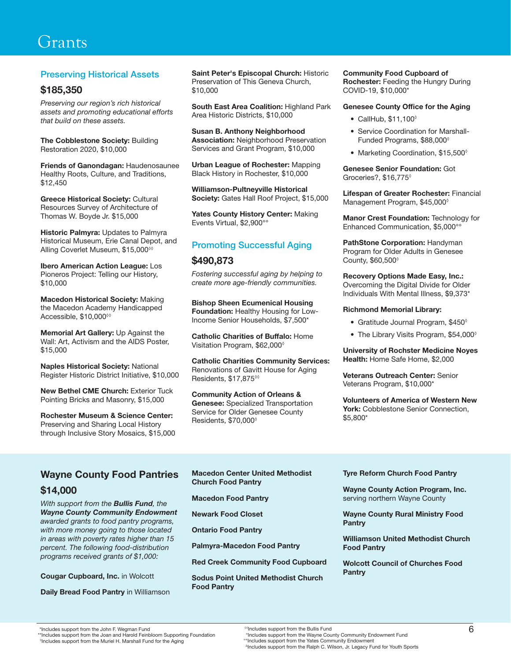#### Preserving Historical Assets

#### \$185,350

*Preserving our region's rich historical assets and promoting educational efforts that build on these assets.*

The Cobblestone Society: Building Restoration 2020, \$10,000

Friends of Ganondagan: Haudenosaunee Healthy Roots, Culture, and Traditions, \$12,450

Greece Historical Society: Cultural Resources Survey of Architecture of Thomas W. Boyde Jr. \$15,000

**Historic Palmyra: Updates to Palmyra** Historical Museum, Erie Canal Depot, and Alling Coverlet Museum, \$15,000◊◊

Ibero American Action League: Los Pioneros Project: Telling our History, \$10,000

Macedon Historical Society: Making the Macedon Academy Handicapped Accessible, \$10,000◊◊

Memorial Art Gallery: Up Against the Wall: Art, Activism and the AIDS Poster, \$15,000

Naples Historical Society: National Register Historic District Initiative, \$10,000

New Bethel CME Church: Exterior Tuck Pointing Bricks and Masonry, \$15,000

Rochester Museum & Science Center: Preserving and Sharing Local History through Inclusive Story Mosaics, \$15,000 Saint Peter's Episcopal Church: Historic Preservation of This Geneva Church, \$10,000

South East Area Coalition: Highland Park Area Historic Districts, \$10,000

Susan B. Anthony Neighborhood **Association: Neighborhood Preservation** Services and Grant Program, \$10,000

Urban League of Rochester: Mapping Black History in Rochester, \$10,000

Williamson-Pultneyville Historical Society: Gates Hall Roof Project, \$15,000

Yates County History Center: Making Events Virtual, \$2,900°°

#### Promoting Successful Aging

#### \$490,873

*Fostering successful aging by helping to create more age-friendly communities.*

Bishop Sheen Ecumenical Housing Foundation: Healthy Housing for Low-Income Senior Households, \$7,500\*

Catholic Charities of Buffalo: Home Visitation Program, \$62,000◊

Catholic Charities Community Services: Renovations of Gavitt House for Aging Residents, \$17,875◊◊

Community Action of Orleans & Genesee: Specialized Transportation Service for Older Genesee County Residents, \$70,000◊

#### Community Food Cupboard of

Rochester: Feeding the Hungry During COVID-19, \$10,000\*

#### Genesee County Office for the Aging

- CallHub, \$11,100◊
- Service Coordination for Marshall-Funded Programs, \$88,000◊
- Marketing Coordination, \$15,500°

Genesee Senior Foundation: Got Groceries?, \$16,775◊

Lifespan of Greater Rochester: Financial Management Program, \$45,000◊

Manor Crest Foundation: Technology for Enhanced Communication, \$5,000°°

PathStone Corporation: Handyman Program for Older Adults in Genesee County, \$60,500◊

Recovery Options Made Easy, Inc.: Overcoming the Digital Divide for Older Individuals With Mental Illness, \$9,373\*

#### Richmond Memorial Library:

- Gratitude Journal Program, \$450°
- The Library Visits Program, \$54,000°

University of Rochster Medicine Noyes Health: Home Safe Home, \$2,000

Veterans Outreach Center: Senior Veterans Program, \$10,000\*

Volunteers of America of Western New York: Cobblestone Senior Connection, \$5,800\*

#### Wayne County Food Pantries

#### \$14,000

*With support from the Bullis Fund, the Wayne County Community Endowment awarded grants to food pantry programs, with more money going to those located in areas with poverty rates higher than 15 percent. The following food-distribution programs received grants of \$1,000:*

Cougar Cupboard, Inc. in Wolcott

Daily Bread Food Pantry in Williamson

Macedon Center United Methodist Church Food Pantry

Macedon Food Pantry

Newark Food Closet

Ontario Food Pantry

Palmyra-Macedon Food Pantry

Red Creek Community Food Cupboard

Sodus Point United Methodist Church Food Pantry

#### Tyre Reform Church Food Pantry

Wayne County Action Program, Inc. serving northern Wayne County

Wayne County Rural Ministry Food Pantry

Williamson United Methodist Church Food Pantry

Wolcott Council of Churches Food Pantry

"Includes support from the John F. Wegman Fund<br>\*\*Includes support from the Joan and Harold Feinbloom Supporting Foundation (and the Sullis Fund metallis Fund<br>Nucludes support from the Muriel H. Marshall Fund for the Aqing

<sup>0</sup>Includes support from the Muriel H. Marshall Fund for the Aging

∆Includes support from the Ralph C. Wilson, Jr. Legacy Fund for Youth Sports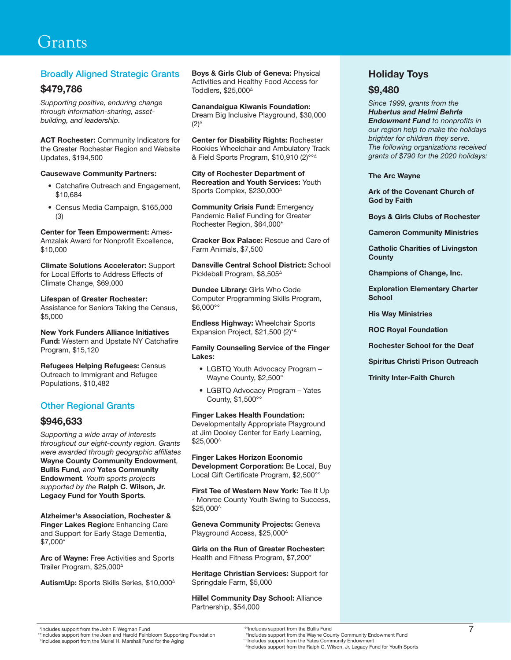#### Broadly Aligned Strategic Grants

#### \$479,786

*Supporting positive, enduring change through information-sharing, assetbuilding, and leadership.*

ACT Rochester: Community Indicators for the Greater Rochester Region and Website Updates, \$194,500

#### Causewave Community Partners:

- Catchafire Outreach and Engagement, \$10,684
- Census Media Campaign, \$165,000 (3)

Center for Teen Empowerment: Ames-Amzalak Award for Nonprofit Excellence, \$10,000

Climate Solutions Accelerator: Support for Local Efforts to Address Effects of Climate Change, \$69,000

Lifespan of Greater Rochester: Assistance for Seniors Taking the Census, \$5,000

New York Funders Alliance Initiatives Fund: Western and Upstate NY Catchafire Program, \$15,120

Refugees Helping Refugees: Census Outreach to Immigrant and Refugee Populations, \$10,482

#### Other Regional Grants

#### \$946,633

*Supporting a wide array of interests throughout our eight-county region. Grants were awarded through geographic affiliates*  Wayne County Community Endowment*,*  Bullis Fund*, and* Yates Community Endowment*. Youth sports projects supported by the* Ralph C. Wilson, Jr. Legacy Fund for Youth Sports*.* 

Alzheimer's Association, Rochester & Finger Lakes Region: Enhancing Care and Support for Early Stage Dementia, \$7,000\*

Arc of Wayne: Free Activities and Sports Trailer Program, \$25,000∆

AutismUp: Sports Skills Series, \$10,000∆

Boys & Girls Club of Geneva: Physical Activities and Healthy Food Access for Toddlers, \$25,000∆

Canandaigua Kiwanis Foundation: Dream Big Inclusive Playground, \$30,000 (2)∆

Center for Disability Rights: Rochester Rookies Wheelchair and Ambulatory Track & Field Sports Program, \$10,910 (2)°°∆

City of Rochester Department of Recreation and Youth Services: Youth Sports Complex, \$230,000∆

**Community Crisis Fund: Emergency** Pandemic Relief Funding for Greater Rochester Region, \$64,000\*

Cracker Box Palace: Rescue and Care of Farm Animals, \$7,500

Dansville Central School District: School Pickleball Program, \$8,505∆

Dundee Library: Girls Who Code Computer Programming Skills Program, \$6,000°°

Endless Highway: Wheelchair Sports Expansion Project, \$21,500 (2)\*∆

Family Counseling Service of the Finger Lakes:

- LGBTQ Youth Advocacy Program Wayne County, \$2,500°
- LGBTQ Advocacy Program Yates County, \$1,500°°

Finger Lakes Health Foundation:

Developmentally Appropriate Playground at Jim Dooley Center for Early Learning, \$25,000∆

Finger Lakes Horizon Economic Development Corporation: Be Local, Buy Local Gift Certificate Program, \$2,500°°

First Tee of Western New York: Tee It Up - Monroe County Youth Swing to Success, \$25,000∆

Geneva Community Projects: Geneva Playground Access, \$25,000∆

Girls on the Run of Greater Rochester: Health and Fitness Program, \$7,200\*

Heritage Christian Services: Support for Springdale Farm, \$5,000

Hillel Community Day School: Alliance Partnership, \$54,000

#### Holiday Toys

#### \$9,480

*Since 1999, grants from the Hubertus and Helmi Behrla Endowment Fund to nonprofits in our region help to make the holidays brighter for children they serve. The following organizations received grants of \$790 for the 2020 holidays:*

#### The Arc Wayne

Ark of the Covenant Church of God by Faith

Boys & Girls Clubs of Rochester

Cameron Community Ministries

Catholic Charities of Livingston **County** 

Champions of Change, Inc.

Exploration Elementary Charter **School** 

His Way Ministries

ROC Royal Foundation

Rochester School for the Deaf

Spiritus Christi Prison Outreach

Trinity Inter-Faith Church

<sup>0</sup>Includes support from the Muriel H. Marshall Fund for the Aging

 <sup>\*</sup>Includes support from the John F. Wegman Fund 7 \*\*Includes support from the Joan and Harold Feinbloom Supporting Foundation ◊◊Includes support from the Bullis Fund °Includes support from the Wayne County Community Endowment Fund °°Includes support from the Yates Community Endowment ∆Includes support from the Ralph C. Wilson, Jr. Legacy Fund for Youth Sports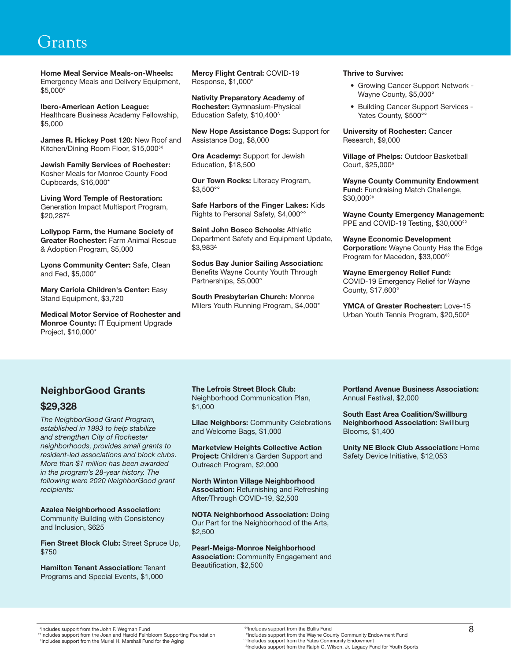Home Meal Service Meals-on-Wheels: Emergency Meals and Delivery Equipment, \$5,000°

Ibero-American Action League: Healthcare Business Academy Fellowship, \$5,000

James R. Hickey Post 120: New Roof and Kitchen/Dining Room Floor, \$15,000<sup><sup>00</sup></sup>

Jewish Family Services of Rochester: Kosher Meals for Monroe County Food Cupboards, \$16,000\*

Living Word Temple of Restoration: Generation Impact Multisport Program, \$20,287∆

Lollypop Farm, the Humane Society of Greater Rochester: Farm Animal Rescue & Adoption Program, \$5,000

Lyons Community Center: Safe, Clean and Fed, \$5,000°

Mary Cariola Children's Center: Easy Stand Equipment, \$3,720

Medical Motor Service of Rochester and Monroe County: IT Equipment Upgrade Project, \$10,000\*

Mercy Flight Central: COVID-19 Response, \$1,000°

Nativity Preparatory Academy of Rochester: Gymnasium-Physical Education Safety, \$10,400∆

New Hope Assistance Dogs: Support for Assistance Dog, \$8,000

Ora Academy: Support for Jewish Education, \$18,500

Our Town Rocks: Literacy Program, \$3,500°°

Safe Harbors of the Finger Lakes: Kids Rights to Personal Safety, \$4,000°°

Saint John Bosco Schools: Athletic Department Safety and Equipment Update, \$3,983∆

Sodus Bay Junior Sailing Association: Benefits Wayne County Youth Through Partnerships, \$5,000°

South Presbyterian Church: Monroe Milers Youth Running Program, \$4,000\*

#### Thrive to Survive:

- Growing Cancer Support Network Wayne County, \$5,000°
- Building Cancer Support Services Yates County, \$500°°

**University of Rochester: Cancer** Research, \$9,000

Village of Phelps: Outdoor Basketball Court, \$25,000∆

Wayne County Community Endowment Fund: Fundraising Match Challenge, \$30,000◊◊

Wayne County Emergency Management: PPE and COVID-19 Testing, \$30,000<sup>→</sup>

Wayne Economic Development Corporation: Wayne County Has the Edge Program for Macedon, \$33,000<sup>→</sup>

Wayne Emergency Relief Fund: COVID-19 Emergency Relief for Wayne County, \$17,600°

YMCA of Greater Rochester: Love-15 Urban Youth Tennis Program, \$20,500∆

#### NeighborGood Grants

#### \$29,328

*The NeighborGood Grant Program, established in 1993 to help stabilize and strengthen City of Rochester neighborhoods, provides small grants to resident-led associations and block clubs. More than \$1 million has been awarded in the program's 28-year history. The following were 2020 NeighborGood grant recipients:*

Azalea Neighborhood Association:

Community Building with Consistency and Inclusion, \$625

Fien Street Block Club: Street Spruce Up, \$750

**Hamilton Tenant Association: Tenant** Programs and Special Events, \$1,000

The Lefrois Street Block Club: Neighborhood Communication Plan, \$1,000

Lilac Neighbors: Community Celebrations and Welcome Bags, \$1,000

Marketview Heights Collective Action Project: Children's Garden Support and Outreach Program, \$2,000

North Winton Village Neighborhood Association: Refurnishing and Refreshing After/Through COVID-19, \$2,500

NOTA Neighborhood Association: Doing Our Part for the Neighborhood of the Arts, \$2,500

Pearl-Meigs-Monroe Neighborhood Association: Community Engagement and Beautification, \$2,500

Portland Avenue Business Association: Annual Festival, \$2,000

South East Area Coalition/Swillburg Neighborhood Association: Swillburg Blooms, \$1,400

Unity NE Block Club Association: Home Safety Device Initiative, \$12,053

<sup>&</sup>lt;sup>0</sup>Includes support from the Muriel H. Marshall Fund for the Aging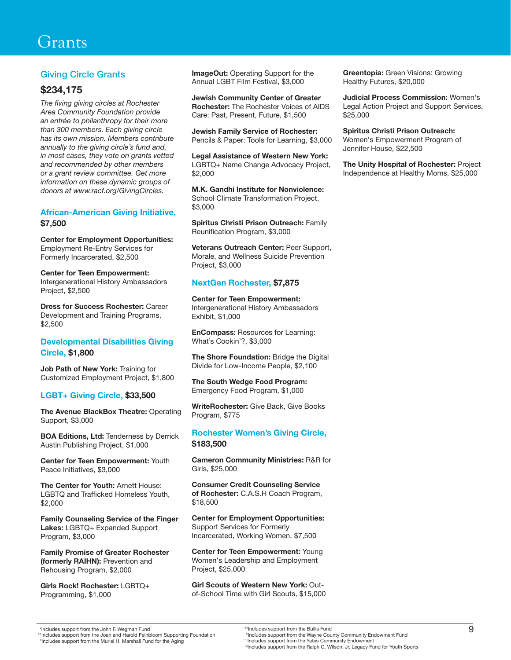#### Giving Circle Grants

#### \$234,175

*The fiving giving circles at Rochester Area Community Foundation provide an entrée to philanthropy for their more than 300 members. Each giving circle has its own mission. Members contribute annually to the giving circle's fund and, in most cases, they vote on grants vetted and recommended by other members or a grant review committee. Get more information on these dynamic groups of donors at www.racf.org/GivingCircles.*

#### African-American Giving Initiative, \$7,500

Center for Employment Opportunities: Employment Re-Entry Services for Formerly Incarcerated, \$2,500

Center for Teen Empowerment: Intergenerational History Ambassadors Project, \$2,500

Dress for Success Rochester: Career Development and Training Programs, \$2,500

#### Developmental Disabilities Giving Circle, \$1,800

Job Path of New York: Training for Customized Employment Project, \$1,800

#### LGBT+ Giving Circle, \$33,500

The Avenue BlackBox Theatre: Operating Support, \$3,000

BOA Editions, Ltd: Tenderness by Derrick Austin Publishing Project, \$1,000

Center for Teen Empowerment: Youth Peace Initiatives, \$3,000

The Center for Youth: Arnett House: LGBTQ and Trafficked Homeless Youth, \$2,000

Family Counseling Service of the Finger Lakes: LGBTQ+ Expanded Support Program, \$3,000

Family Promise of Greater Rochester (formerly RAIHN): Prevention and Rehousing Program, \$2,000

Girls Rock! Rochester: LGBTQ+ Programming, \$1,000

**ImageOut:** Operating Support for the Annual LGBT Film Festival, \$3,000

Jewish Community Center of Greater Rochester: The Rochester Voices of AIDS Care: Past, Present, Future, \$1,500

Jewish Family Service of Rochester: Pencils & Paper: Tools for Learning, \$3,000

Legal Assistance of Western New York: LGBTQ+ Name Change Advocacy Project, \$2,000

M.K. Gandhi Institute for Nonviolence: School Climate Transformation Project, \$3,000

Spiritus Christi Prison Outreach: Family Reunification Program, \$3,000

Veterans Outreach Center: Peer Support, Morale, and Wellness Suicide Prevention Project, \$3,000

#### NextGen Rochester, \$7,875

Center for Teen Empowerment: Intergenerational History Ambassadors Exhibit, \$1,000

EnCompass: Resources for Learning: What's Cookin'?, \$3,000

The Shore Foundation: Bridge the Digital Divide for Low-Income People, \$2,100

The South Wedge Food Program: Emergency Food Program, \$1,000

WriteRochester: Give Back, Give Books Program, \$775

#### Rochester Women's Giving Circle, \$183,500

Cameron Community Ministries: R&R for Girls, \$25,000

Consumer Credit Counseling Service of Rochester: C.A.S.H Coach Program, \$18,500

Center for Employment Opportunities: Support Services for Formerly Incarcerated, Working Women, \$7,500

Center for Teen Empowerment: Young Women's Leadership and Employment Project, \$25,000

Girl Scouts of Western New York: Outof-School Time with Girl Scouts, \$15,000 Greentopia: Green Visions: Growing Healthy Futures, \$20,000

Judicial Process Commission: Women's Legal Action Project and Support Services, \$25,000

Spiritus Christi Prison Outreach: Women's Empowerment Program of Jennifer House, \$22,500

The Unity Hospital of Rochester: Project Independence at Healthy Moms, \$25,000

<sup>0</sup>Includes support from the Muriel H. Marshall Fund for the Aging

<sup>&</sup>quot;Includes support from the John F. Wegman Fund<br>"Includes support from the Vayne County Community Endowment Fund\*\*\*Includes support from the Wayne County Community Endowment Fund\*\*\*Includes support from the Wayne County Co ◊◊Includes support from the Bullis Fund ∆Includes support from the Ralph C. Wilson, Jr. Legacy Fund for Youth Sports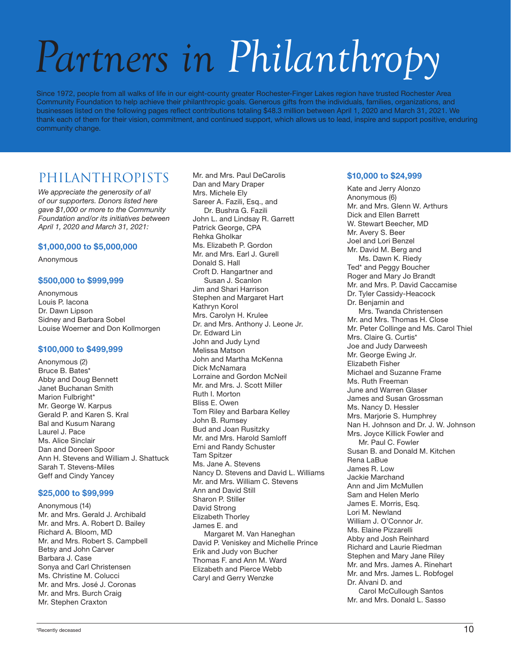## *Partners in Philanthropy*

Since 1972, people from all walks of life in our eight-county greater Rochester-Finger Lakes region have trusted Rochester Area Community Foundation to help achieve their philanthropic goals. Generous gifts from the individuals, families, organizations, and businesses listed on the following pages reflect contributions totaling \$48.3 million between April 1, 2020 and March 31, 2021. We thank each of them for their vision, commitment, and continued support, which allows us to lead, inspire and support positive, enduring community change.

#### PHILANTHROPISTS

*We appreciate the generosity of all of our supporters. Donors listed here gave \$1,000 or more to the Community Foundation and/or its initiatives between April 1, 2020 and March 31, 2021:*

#### \$1,000,000 to \$5,000,000

Anonymous

#### \$500,000 to \$999,999

Anonymous Louis P. Iacona Dr. Dawn Lipson Sidney and Barbara Sobel Louise Woerner and Don Kollmorgen

#### \$100,000 to \$499,999

Anonymous (2) Bruce B. Bates\* Abby and Doug Bennett Janet Buchanan Smith Marion Fulbright\* Mr. George W. Karpus Gerald P. and Karen S. Kral Bal and Kusum Narang Laurel J. Pace Ms. Alice Sinclair Dan and Doreen Spoor Ann H. Stevens and William J. Shattuck Sarah T. Stevens-Miles Geff and Cindy Yancey

#### \$25,000 to \$99,999

Anonymous (14) Mr. and Mrs. Gerald J. Archibald Mr. and Mrs. A. Robert D. Bailey Richard A. Bloom, MD Mr. and Mrs. Robert S. Campbell Betsy and John Carver Barbara J. Case Sonya and Carl Christensen Ms. Christine M. Colucci Mr. and Mrs. José J. Coronas Mr. and Mrs. Burch Craig Mr. Stephen Craxton

Mr. and Mrs. Paul DeCarolis Dan and Mary Draper Mrs. Michele Ely Sareer A. Fazili, Esq., and Dr. Bushra G. Fazili John L. and Lindsay R. Garrett Patrick George, CPA Rehka Gholkar Ms. Elizabeth P. Gordon Mr. and Mrs. Earl J. Gurell Donald S. Hall Croft D. Hangartner and Susan J. Scanlon Jim and Shari Harrison Stephen and Margaret Hart Kathryn Korol Mrs. Carolyn H. Krulee Dr. and Mrs. Anthony J. Leone Jr. Dr. Fdward Lin John and Judy Lynd Melissa Matson John and Martha McKenna Dick McNamara Lorraine and Gordon McNeil Mr. and Mrs. J. Scott Miller Ruth I. Morton Bliss E. Owen Tom Riley and Barbara Kelley John B. Rumsey Bud and Joan Rusitzky Mr. and Mrs. Harold Samloff Erni and Randy Schuster Tam Spitzer Ms. Jane A. Stevens Nancy D. Stevens and David L. Williams Mr. and Mrs. William C. Stevens Ann and David Still Sharon P. Stiller David Strong Elizabeth Thorley James E. and Margaret M. Van Haneghan David P. Veniskey and Michelle Prince Erik and Judy von Bucher Thomas F. and Ann M. Ward Elizabeth and Pierce Webb Caryl and Gerry Wenzke

#### \$10,000 to \$24,999

Kate and Jerry Alonzo Anonymous (6) Mr. and Mrs. Glenn W. Arthurs Dick and Ellen Barrett W. Stewart Beecher, MD Mr. Avery S. Beer Joel and Lori Benzel Mr. David M. Berg and Ms. Dawn K. Riedy Ted\* and Peggy Boucher Roger and Mary Jo Brandt Mr. and Mrs. P. David Caccamise Dr. Tyler Cassidy-Heacock Dr. Benjamin and Mrs. Twanda Christensen Mr. and Mrs. Thomas H. Close Mr. Peter Collinge and Ms. Carol Thiel Mrs. Claire G. Curtis\* Joe and Judy Darweesh Mr. George Ewing Jr. Elizabeth Fisher Michael and Suzanne Frame Ms. Ruth Freeman June and Warren Glaser James and Susan Grossman Ms. Nancy D. Hessler Mrs. Marjorie S. Humphrey Nan H. Johnson and Dr. J. W. Johnson Mrs. Joyce Killick Fowler and Mr. Paul C. Fowler Susan B. and Donald M. Kitchen Rena LaBue James R. Low Jackie Marchand Ann and Jim McMullen Sam and Helen Merlo James E. Morris, Esq. Lori M. Newland William J. O'Connor Jr. Ms. Elaine Pizzarelli Abby and Josh Reinhard Richard and Laurie Riedman Stephen and Mary Jane Riley Mr. and Mrs. James A. Rinehart Mr. and Mrs. James L. Robfogel Dr. Alvani D. and Carol McCullough Santos Mr. and Mrs. Donald L. Sasso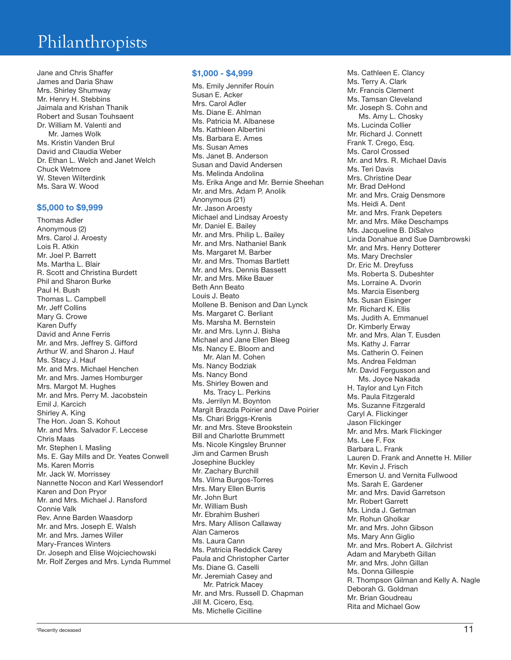Jane and Chris Shaffer James and Daria Shaw Mrs. Shirley Shumway Mr. Henry H. Stebbins Jaimala and Krishan Thanik Robert and Susan Touhsaent Dr. William M. Valenti and Mr. James Wolk Ms. Kristin Vanden Brul David and Claudia Weber Dr. Ethan L. Welch and Janet Welch Chuck Wetmore W. Steven Wilterdink Ms. Sara W. Wood

#### \$5,000 to \$9,999

Thomas Adler Anonymous (2) Mrs. Carol J. Aroesty Lois R. Atkin Mr. Joel P. Barrett Ms. Martha L. Blair R. Scott and Christina Burdett Phil and Sharon Burke Paul H. Bush Thomas L. Campbell Mr. Jeff Collins Mary G. Crowe Karen Duffy David and Anne Ferris Mr. and Mrs. Jeffrey S. Gifford Arthur W. and Sharon J. Hauf Ms. Stacy J. Hauf Mr. and Mrs. Michael Henchen Mr. and Mrs. James Homburger Mrs. Margot M. Hughes Mr. and Mrs. Perry M. Jacobstein Emil J. Karcich Shirley A. King The Hon. Joan S. Kohout Mr. and Mrs. Salvador F. Leccese Chris Maas Mr. Stephen I. Masling Ms. E. Gay Mills and Dr. Yeates Conwell Ms. Karen Morris Mr. Jack W. Morrissey Nannette Nocon and Karl Wessendorf Karen and Don Pryor Mr. and Mrs. Michael J. Ransford Connie Valk Rev. Anne Barden Waasdorp Mr. and Mrs. Joseph E. Walsh Mr. and Mrs. James Willer Mary-Frances Winters Dr. Joseph and Elise Wojciechowski Mr. Rolf Zerges and Mrs. Lynda Rummel

#### \$1,000 - \$4,999

Ms. Emily Jennifer Rouin Susan E. Acker Mrs. Carol Adler Ms. Diane E. Ahlman Ms. Patricia M. Albanese Ms. Kathleen Albertini Ms. Barbara E. Ames Ms. Susan Ames Ms. Janet B. Anderson Susan and David Andersen Ms. Melinda Andolina Ms. Erika Ange and Mr. Bernie Sheehan Mr. and Mrs. Adam P. Anolik Anonymous (21) Mr. Jason Aroesty Michael and Lindsay Aroesty Mr. Daniel E. Bailey Mr. and Mrs. Philip L. Bailey Mr. and Mrs. Nathaniel Bank Ms. Margaret M. Barber Mr. and Mrs. Thomas Bartlett Mr. and Mrs. Dennis Bassett Mr. and Mrs. Mike Bauer Beth Ann Beato Louis J. Beato Mollene B. Benison and Dan Lynck Ms. Margaret C. Berliant Ms. Marsha M. Bernstein Mr. and Mrs. Lynn J. Bisha Michael and Jane Ellen Bleeg Ms. Nancy E. Bloom and Mr. Alan M. Cohen Ms. Nancy Bodziak Ms. Nancy Bond Ms. Shirley Bowen and Ms. Tracy L. Perkins Ms. Jerrilyn M. Boynton Margit Brazda Poirier and Dave Poirier Ms. Chari Briggs-Krenis Mr. and Mrs. Steve Brookstein Bill and Charlotte Brummett Ms. Nicole Kingsley Brunner Jim and Carmen Brush Josephine Buckley Mr. Zachary Burchill Ms. Vilma Burgos-Torres Mrs. Mary Ellen Burris Mr. John Burt Mr. William Bush Mr. Ebrahim Busheri Mrs. Mary Allison Callaway Alan Cameros Ms. Laura Cann Ms. Patricia Reddick Carey Paula and Christopher Carter Ms. Diane G. Caselli Mr. Jeremiah Casey and Mr. Patrick Macey Mr. and Mrs. Russell D. Chapman Jill M. Cicero, Esq. Ms. Michelle Cicilline

Ms. Cathleen E. Clancy Ms. Terry A. Clark Mr. Francis Clement Ms. Tamsan Cleveland Mr. Joseph S. Cohn and Ms. Amy L. Chosky Ms. Lucinda Collier Mr. Richard J. Connett Frank T. Crego, Esq. Ms. Carol Crossed Mr. and Mrs. R. Michael Davis Ms. Teri Davis Mrs. Christine Dear Mr. Brad DeHond Mr. and Mrs. Craig Densmore Ms. Heidi A. Dent Mr. and Mrs. Frank Depeters Mr. and Mrs. Mike Deschamps Ms. Jacqueline B. DiSalvo Linda Donahue and Sue Dambrowski Mr. and Mrs. Henry Dotterer Ms. Mary Drechsler Dr. Eric M. Dreyfuss Ms. Roberta S. Dubeshter Ms. Lorraine A. Dvorin Ms. Marcia Eisenberg Ms. Susan Eisinger Mr. Richard K. Ellis Ms. Judith A. Emmanuel Dr. Kimberly Erway Mr. and Mrs. Alan T. Eusden Ms. Kathy J. Farrar Ms. Catherin O. Feinen Ms. Andrea Feldman Mr. David Fergusson and Ms. Joyce Nakada H. Taylor and Lyn Fitch Ms. Paula Fitzgerald Ms. Suzanne Fitzgerald Caryl A. Flickinger Jason Flickinger Mr. and Mrs. Mark Flickinger Ms. Lee F. Fox Barbara L. Frank Lauren D. Frank and Annette H. Miller Mr. Kevin J. Frisch Emerson U. and Vernita Fullwood Ms. Sarah E. Gardener Mr. and Mrs. David Garretson Mr. Robert Garrett Ms. Linda J. Getman Mr. Rohun Gholkar Mr. and Mrs. John Gibson Ms. Mary Ann Giglio Mr. and Mrs. Robert A. Gilchrist Adam and Marybeth Gillan Mr. and Mrs. John Gillan Ms. Donna Gillespie R. Thompson Gilman and Kelly A. Nagle Deborah G. Goldman Mr. Brian Goudreau Rita and Michael Gow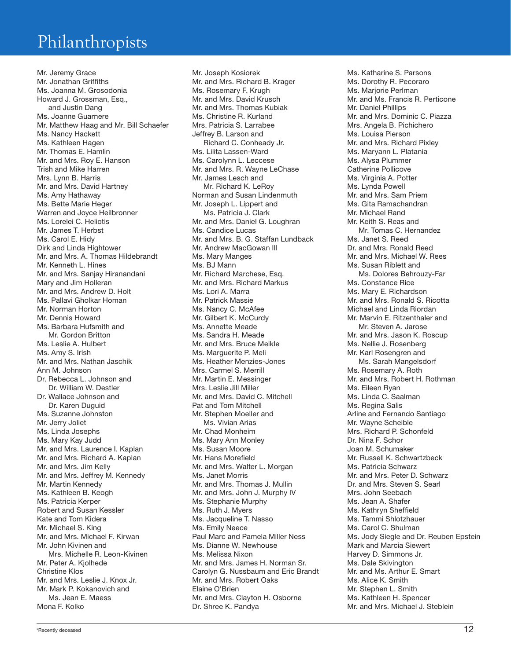Mr. Jeremy Grace Mr. Jonathan Griffiths Ms. Joanna M. Grosodonia Howard J. Grossman, Esq., and Justin Dang Ms. Joanne Guarnere Mr. Matthew Haag and Mr. Bill Schaefer Ms. Nancy Hackett Ms. Kathleen Hagen Mr. Thomas E. Hamlin Mr. and Mrs. Roy E. Hanson Trish and Mike Harren Mrs. Lynn B. Harris Mr. and Mrs. David Hartney Ms. Amy Hathaway Ms. Bette Marie Heger Warren and Joyce Heilbronner Ms. Lorelei C. Heliotis Mr. James T. Herbst Ms. Carol E. Hidy Dirk and Linda Hightower Mr. and Mrs. A. Thomas Hildebrandt Mr. Kenneth L. Hines Mr. and Mrs. Sanjay Hiranandani Mary and Jim Holleran Mr. and Mrs. Andrew D. Holt Ms. Pallavi Gholkar Homan Mr. Norman Horton Mr. Dennis Howard Ms. Barbara Hufsmith and Mr. Gordon Britton Ms. Leslie A. Hulbert Ms. Amy S. Irish Mr. and Mrs. Nathan Jaschik Ann M. Johnson Dr. Rebecca L. Johnson and Dr. William W. Destler Dr. Wallace Johnson and Dr. Karen Duguid Ms. Suzanne Johnston Mr. Jerry Joliet Ms. Linda Josephs Ms. Mary Kay Judd Mr. and Mrs. Laurence I. Kaplan Mr. and Mrs. Richard A. Kaplan Mr. and Mrs. Jim Kelly Mr. and Mrs. Jeffrey M. Kennedy Mr. Martin Kennedy Ms. Kathleen B. Keogh Ms. Patricia Kerper Robert and Susan Kessler Kate and Tom Kidera Mr. Michael S. King Mr. and Mrs. Michael F. Kirwan Mr. John Kivinen and Mrs. Michelle R. Leon-Kivinen Mr. Peter A. Kjolhede Christine Klos Mr. and Mrs. Leslie J. Knox Jr. Mr. Mark P. Kokanovich and Ms. Jean E. Maess Mona F. Kolko

Mr. Joseph Kosiorek Mr. and Mrs. Richard B. Krager Ms. Rosemary F. Krugh Mr. and Mrs. David Krusch Mr. and Mrs. Thomas Kubiak Ms. Christine R. Kurland Mrs. Patricia S. Larrabee Jeffrey B. Larson and Richard C. Conheady Jr. Ms. Lilita Lassen-Ward Ms. Carolynn L. Leccese Mr. and Mrs. R. Wayne LeChase Mr. James Lesch and Mr. Richard K. LeRoy Norman and Susan Lindenmuth Mr. Joseph L. Lippert and Ms. Patricia J. Clark Mr. and Mrs. Daniel G. Loughran Ms. Candice Lucas Mr. and Mrs. B. G. Staffan Lundback Mr. Andrew MacGowan III Ms. Mary Manges Ms. BJ Mann Mr. Richard Marchese, Esq. Mr. and Mrs. Richard Markus Ms. Lori A. Marra Mr. Patrick Massie Ms. Nancy C. McAfee Mr. Gilbert K. McCurdy Ms. Annette Meade Ms. Sandra H. Meade Mr. and Mrs. Bruce Meikle Ms. Marguerite P. Meli Ms. Heather Menzies-Jones Mrs. Carmel S. Merrill Mr. Martin E. Messinger Mrs. Leslie Jill Miller Mr. and Mrs. David C. Mitchell Pat and Tom Mitchell Mr. Stephen Moeller and Ms. Vivian Arias Mr. Chad Monheim Ms. Mary Ann Monley Ms. Susan Moore Mr. Hans Morefield Mr. and Mrs. Walter L. Morgan Ms. Janet Morris Mr. and Mrs. Thomas J. Mullin Mr. and Mrs. John J. Murphy IV Ms. Stephanie Murphy Ms. Ruth J. Myers Ms. Jacqueline T. Nasso Ms. Emily Neece Paul Marc and Pamela Miller Ness Ms. Dianne W. Newhouse Ms. Melissa Nixon Mr. and Mrs. James H. Norman Sr. Carolyn G. Nussbaum and Eric Brandt Mr. and Mrs. Robert Oaks Elaine O'Brien Mr. and Mrs. Clayton H. Osborne Dr. Shree K. Pandya

Ms. Katharine S. Parsons Ms. Dorothy R. Pecoraro Ms. Marjorie Perlman Mr. and Ms. Francis R. Perticone Mr. Daniel Phillips Mr. and Mrs. Dominic C. Piazza Mrs. Angela B. Pichichero Ms. Louisa Pierson Mr. and Mrs. Richard Pixley Ms. Maryann L. Platania Ms. Alysa Plummer Catherine Pollicove Ms. Virginia A. Potter Ms. Lynda Powell Mr. and Mrs. Sam Priem Ms. Gita Ramachandran Mr. Michael Rand Mr. Keith S. Reas and Mr. Tomas C. Hernandez Ms. Janet S. Reed Dr. and Mrs. Ronald Reed Mr. and Mrs. Michael W. Rees Ms. Susan Riblett and Ms. Dolores Behrouzy-Far Ms. Constance Rice Ms. Mary E. Richardson Mr. and Mrs. Ronald S. Ricotta Michael and Linda Riordan Mr. Marvin E. Ritzenthaler and Mr. Steven A. Jarose Mr. and Mrs. Jason K. Roscup Ms. Nellie J. Rosenberg Mr. Karl Rosengren and Ms. Sarah Mangelsdorf Ms. Rosemary A. Roth Mr. and Mrs. Robert H. Rothman Ms. Eileen Ryan Ms. Linda C. Saalman Ms. Regina Salis Arline and Fernando Santiago Mr. Wayne Scheible Mrs. Richard P. Schonfeld Dr. Nina F. Schor Joan M. Schumaker Mr. Russell K. Schwartzbeck Ms. Patricia Schwarz Mr. and Mrs. Peter D. Schwarz Dr. and Mrs. Steven S. Searl Mrs. John Seebach Ms. Jean A. Shafer Ms. Kathryn Sheffield Ms. Tammi Shlotzhauer Ms. Carol C. Shulman Ms. Jody Siegle and Dr. Reuben Epstein Mark and Marcia Siewert Harvey D. Simmons Jr. Ms. Dale Skivington Mr. and Ms. Arthur E. Smart Ms. Alice K. Smith Mr. Stephen L. Smith Ms. Kathleen H. Spencer Mr. and Mrs. Michael J. Steblein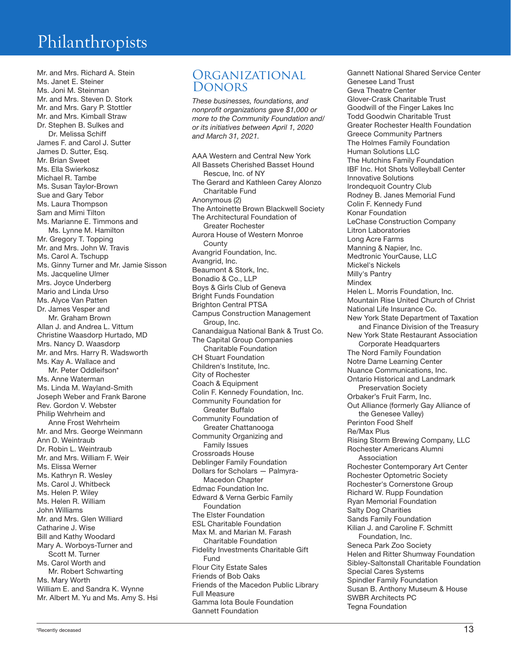Mr. and Mrs. Richard A. Stein Ms. Janet E. Steiner Ms. Joni M. Steinman Mr. and Mrs. Steven D. Stork Mr. and Mrs. Gary P. Stottler Mr. and Mrs. Kimball Straw Dr. Stephen B. Sulkes and Dr. Melissa Schiff James F. and Carol J. Sutter James D. Sutter, Esq. Mr. Brian Sweet Ms. Ella Swierkosz Michael R. Tambe Ms. Susan Taylor-Brown Sue and Gary Tebor Ms. Laura Thompson Sam and Mimi Tilton Ms. Marianne E. Timmons and Ms. Lynne M. Hamilton Mr. Gregory T. Topping Mr. and Mrs. John W. Travis Ms. Carol A. Tschupp Ms. Ginny Turner and Mr. Jamie Sisson Ms. Jacqueline Ulmer Mrs. Joyce Underberg Mario and Linda Urso Ms. Alyce Van Patten Dr. James Vesper and Mr. Graham Brown Allan J. and Andrea L. Vittum Christine Waasdorp Hurtado, MD Mrs. Nancy D. Waasdorp Mr. and Mrs. Harry R. Wadsworth Ms. Kay A. Wallace and Mr. Peter Oddleifson\* Ms. Anne Waterman Ms. Linda M. Wayland-Smith Joseph Weber and Frank Barone Rev. Gordon V. Webster Philip Wehrheim and Anne Frost Wehrheim Mr. and Mrs. George Weinmann Ann D. Weintraub Dr. Robin L. Weintraub Mr. and Mrs. William F. Weir Ms. Elissa Werner Ms. Kathryn R. Wesley Ms. Carol J. Whitbeck Ms. Helen P. Wiley Ms. Helen R. William John Williams Mr. and Mrs. Glen Williard Catharine J. Wise Bill and Kathy Woodard Mary A. Worboys-Turner and Scott M. Turner Ms. Carol Worth and Mr. Robert Schwarting Ms. Mary Worth William E. and Sandra K. Wynne Mr. Albert M. Yu and Ms. Amy S. Hsi

#### **ORGANIZATIONAL** Donors

*These businesses, foundations, and nonprofit organizations gave \$1,000 or more to the Community Foundation and/ or its initiatives between April 1, 2020 and March 31, 2021.*

AAA Western and Central New York All Bassets Cherished Basset Hound Rescue, Inc. of NY The Gerard and Kathleen Carey Alonzo Charitable Fund Anonymous (2) The Antoinette Brown Blackwell Society The Architectural Foundation of Greater Rochester Aurora House of Western Monroe County Avangrid Foundation, Inc. Avangrid, Inc. Beaumont & Stork, Inc. Bonadio & Co., LLP Boys & Girls Club of Geneva Bright Funds Foundation Brighton Central PTSA Campus Construction Management Group, Inc. Canandaigua National Bank & Trust Co. The Capital Group Companies Charitable Foundation CH Stuart Foundation Children's Institute, Inc. City of Rochester Coach & Equipment Colin F. Kennedy Foundation, Inc. Community Foundation for Greater Buffalo Community Foundation of Greater Chattanooga Community Organizing and Family Issues Crossroads House Deblinger Family Foundation Dollars for Scholars — Palmyra-Macedon Chapter Edmac Foundation Inc. Edward & Verna Gerbic Family Foundation The Elster Foundation ESL Charitable Foundation Max M. and Marian M. Farash Charitable Foundation Fidelity Investments Charitable Gift Fund Flour City Estate Sales Friends of Bob Oaks Friends of the Macedon Public Library Full Measure Gamma Iota Boule Foundation Gannett Foundation

Gannett National Shared Service Center Genesee Land Trust Geva Theatre Center Glover-Crask Charitable Trust Goodwill of the Finger Lakes Inc Todd Goodwin Charitable Trust Greater Rochester Health Foundation Greece Community Partners The Holmes Family Foundation Human Solutions LLC The Hutchins Family Foundation IBF Inc. Hot Shots Volleyball Center Innovative Solutions Irondequoit Country Club Rodney B. Janes Memorial Fund Colin F. Kennedy Fund Konar Foundation LeChase Construction Company Litron Laboratories Long Acre Farms Manning & Napier, Inc. Medtronic YourCause, LLC Mickel's Nickels Milly's Pantry Mindex Helen L. Morris Foundation, Inc. Mountain Rise United Church of Christ National Life Insurance Co. New York State Department of Taxation and Finance Division of the Treasury New York State Restaurant Association Corporate Headquarters The Nord Family Foundation Notre Dame Learning Center Nuance Communications, Inc. Ontario Historical and Landmark Preservation Society Orbaker's Fruit Farm, Inc. Out Alliance (formerly Gay Alliance of the Genesee Valley) Perinton Food Shelf Re/Max Plus Rising Storm Brewing Company, LLC Rochester Americans Alumni Association Rochester Contemporary Art Center Rochester Optometric Society Rochester's Cornerstone Group Richard W. Rupp Foundation Ryan Memorial Foundation Salty Dog Charities Sands Family Foundation Kilian J. and Caroline F. Schmitt Foundation, Inc. Seneca Park Zoo Society Helen and Ritter Shumway Foundation Sibley-Saltonstall Charitable Foundation Special Cares Systems Spindler Family Foundation Susan B. Anthony Museum & House SWBR Architects PC Tegna Foundation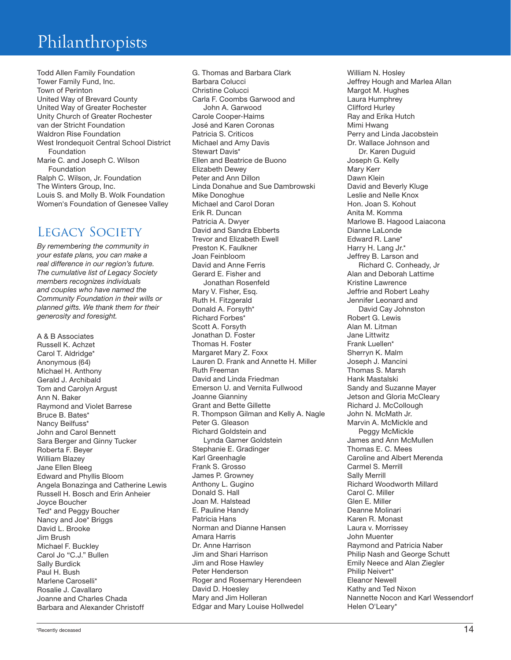Todd Allen Family Foundation Tower Family Fund, Inc. Town of Perinton United Way of Brevard County United Way of Greater Rochester Unity Church of Greater Rochester van der Stricht Foundation Waldron Rise Foundation West Irondequoit Central School District Foundation Marie C. and Joseph C. Wilson Foundation Ralph C. Wilson, Jr. Foundation The Winters Group, Inc. Louis S. and Molly B. Wolk Foundation Women's Foundation of Genesee Valley

### LEGACY SOCIETY

*By remembering the community in your estate plans, you can make a real difference in our region's future. The cumulative list of Legacy Society members recognizes individuals and couples who have named the Community Foundation in their wills or planned gifts. We thank them for their generosity and foresight.*

A & B Associates Russell K. Achzet Carol T. Aldridge\* Anonymous (64) Michael H. Anthony Gerald J. Archibald Tom and Carolyn Argust Ann N. Baker Raymond and Violet Barrese Bruce B. Bates\* Nancy Beilfuss\* John and Carol Bennett Sara Berger and Ginny Tucker Roberta F. Beyer William Blazey Jane Ellen Bleeg Edward and Phyllis Bloom Angela Bonazinga and Catherine Lewis Russell H. Bosch and Erin Anheier Joyce Boucher Ted\* and Peggy Boucher Nancy and Joe\* Briggs David L. Brooke Jim Brush Michael F. Buckley Carol Jo "C.J." Bullen Sally Burdick Paul H. Bush Marlene Caroselli\* Rosalie J. Cavallaro Joanne and Charles Chada Barbara and Alexander Christoff

G. Thomas and Barbara Clark Barbara Colucci Christine Colucci Carla F. Coombs Garwood and John A. Garwood Carole Cooper-Haims José and Karen Coronas Patricia S. Criticos Michael and Amy Davis Stewart Davis\* Ellen and Beatrice de Buono Elizabeth Dewey Peter and Ann Dillon Linda Donahue and Sue Dambrowski Mike Donoghue Michael and Carol Doran Erik R. Duncan Patricia A. Dwyer David and Sandra Ebberts Trevor and Elizabeth Ewell Preston K. Faulkner Joan Feinbloom David and Anne Ferris Gerard E. Fisher and Jonathan Rosenfeld Mary V. Fisher, Esq. Ruth H. Fitzgerald Donald A. Forsyth\* Richard Forbes\* Scott A. Forsyth Jonathan D. Foster Thomas H. Foster Margaret Mary Z. Foxx Lauren D. Frank and Annette H. Miller Ruth Freeman David and Linda Friedman Emerson U. and Vernita Fullwood Joanne Gianniny Grant and Bette Gillette R. Thompson Gilman and Kelly A. Nagle Peter G. Gleason Richard Goldstein and Lynda Garner Goldstein Stephanie E. Gradinger Karl Greenhagle Frank S. Grosso James P. Growney Anthony L. Gugino Donald S. Hall Joan M. Halstead E. Pauline Handy Patricia Hans Norman and Dianne Hansen Amara Harris Dr. Anne Harrison Jim and Shari Harrison Jim and Rose Hawley Peter Henderson Roger and Rosemary Herendeen David D. Hoesley Mary and Jim Holleran Edgar and Mary Louise Hollwedel

William N. Hosley Jeffrey Hough and Marlea Allan Margot M. Hughes Laura Humphrey Clifford Hurley Ray and Erika Hutch Mimi Hwang Perry and Linda Jacobstein Dr. Wallace Johnson and Dr. Karen Duguid Joseph G. Kelly Mary Kerr Dawn Klein David and Beverly Kluge Leslie and Nelle Knox Hon. Joan S. Kohout Anita M. Komma Marlowe B. Hagood Laiacona Dianne LaLonde Edward R. Lane\* Harry H. Lang Jr.\* Jeffrey B. Larson and Richard C. Conheady, Jr Alan and Deborah Lattime Kristine Lawrence Jeffrie and Robert Leahy Jennifer Leonard and David Cay Johnston Robert G. Lewis Alan M. Litman Jane Littwitz Frank Luellen\* Sherryn K. Malm Joseph J. Mancini Thomas S. Marsh Hank Mastalski Sandy and Suzanne Mayer Jetson and Gloria McCleary Richard J. McCollough John N. McMath Jr. Marvin A. McMickle and Peggy McMickle James and Ann McMullen Thomas E. C. Mees Caroline and Albert Merenda Carmel S. Merrill Sally Merrill Richard Woodworth Millard Carol C. Miller Glen E. Miller Deanne Molinari Karen R. Monast Laura v. Morrissey John Muenter Raymond and Patricia Naber Philip Nash and George Schutt Emily Neece and Alan Ziegler Philip Neivert\* Eleanor Newell Kathy and Ted Nixon Nannette Nocon and Karl Wessendorf Helen O'Leary\*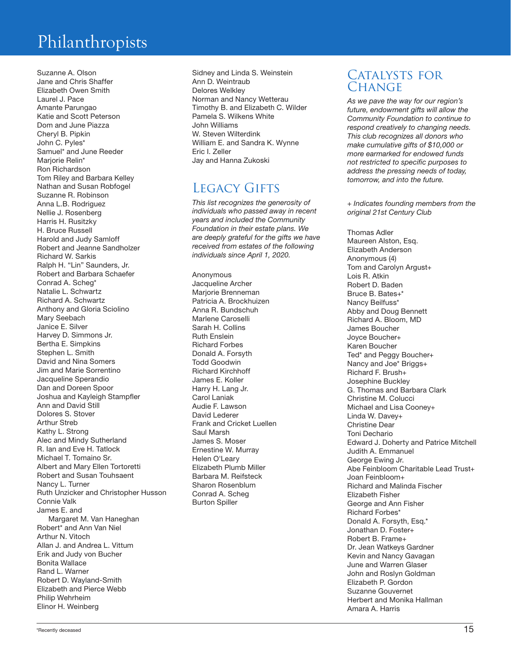Suzanne A. Olson Jane and Chris Shaffer Elizabeth Owen Smith Laurel J. Pace Amante Parungao Katie and Scott Peterson Dom and June Piazza Cheryl B. Pipkin John C. Pyles\* Samuel\* and June Reeder Marjorie Relin\* Ron Richardson Tom Riley and Barbara Kelley Nathan and Susan Robfogel Suzanne R. Robinson Anna L.B. Rodriguez Nellie J. Rosenberg Harris H. Rusitzky H. Bruce Russell Harold and Judy Samloff Robert and Jeanne Sandholzer Richard W. Sarkis Ralph H. "Lin" Saunders, Jr. Robert and Barbara Schaefer Conrad A. Scheg\* Natalie L. Schwartz Richard A. Schwartz Anthony and Gloria Sciolino Mary Seebach Janice E. Silver Harvey D. Simmons Jr. Bertha E. Simpkins Stephen L. Smith David and Nina Somers Jim and Marie Sorrentino Jacqueline Sperandio Dan and Doreen Spoor Joshua and Kayleigh Stampfler Ann and David Still Dolores S. Stover Arthur Streb Kathy L. Strong Alec and Mindy Sutherland R. Ian and Eve H. Tatlock Michael T. Tomaino Sr. Albert and Mary Ellen Tortoretti Robert and Susan Touhsaent Nancy L. Turner Ruth Unzicker and Christopher Husson Connie Valk James E. and Margaret M. Van Haneghan Robert\* and Ann Van Niel Arthur N. Vitoch Allan J. and Andrea L. Vittum Erik and Judy von Bucher Bonita Wallace Rand L. Warner Robert D. Wayland-Smith Elizabeth and Pierce Webb Philip Wehrheim Elinor H. Weinberg

Sidney and Linda S. Weinstein Ann D. Weintraub Delores Welkley Norman and Nancy Wetterau Timothy B. and Elizabeth C. Wilder Pamela S. Wilkens White John Williams W. Steven Wilterdink William E. and Sandra K. Wynne Eric I. Zeller Jay and Hanna Zukoski

#### LEGACY GIFTS

*This list recognizes the generosity of individuals who passed away in recent years and included the Community Foundation in their estate plans. We are deeply grateful for the gifts we have received from estates of the following individuals since April 1, 2020.*

Anonymous Jacqueline Archer Marjorie Brenneman Patricia A. Brockhuizen Anna R. Bundschuh Marlene Caroselli Sarah H. Collins Ruth Enslein Richard Forbes Donald A. Forsyth Todd Goodwin Richard Kirchhoff James E. Koller Harry H. Lang Jr. Carol Laniak Audie F. Lawson David Lederer Frank and Cricket Luellen Saul Marsh James S. Moser Ernestine W. Murray Helen O'Leary Elizabeth Plumb Miller Barbara M. Reifsteck Sharon Rosenblum Conrad A. Scheg Burton Spiller

#### CATALYSTS FOR CHANGE

*As we pave the way for our region's future, endowment gifts will allow the Community Foundation to continue to respond creatively to changing needs. This club recognizes all donors who make cumulative gifts of \$10,000 or more earmarked for endowed funds not restricted to specific purposes to address the pressing needs of today, tomorrow, and into the future.*

*+ Indicates founding members from the original 21st Century Club*

Thomas Adler Maureen Alston, Esq. Elizabeth Anderson Anonymous (4) Tom and Carolyn Argust+ Lois R. Atkin Robert D. Baden Bruce B. Bates+\* Nancy Beilfuss\* Abby and Doug Bennett Richard A. Bloom, MD James Boucher Joyce Boucher+ Karen Boucher Ted\* and Peggy Boucher+ Nancy and Joe\* Briggs+ Richard F. Brush+ Josephine Buckley G. Thomas and Barbara Clark Christine M. Colucci Michael and Lisa Cooney+ Linda W. Davey+ Christine Dear Toni Dechario Edward J. Doherty and Patrice Mitchell Judith A. Emmanuel George Ewing Jr. Abe Feinbloom Charitable Lead Trust+ Joan Feinbloom+ Richard and Malinda Fischer Elizabeth Fisher George and Ann Fisher Richard Forbes\* Donald A. Forsyth, Esq.\* Jonathan D. Foster+ Robert B. Frame+ Dr. Jean Watkeys Gardner Kevin and Nancy Gavagan June and Warren Glaser John and Roslyn Goldman Elizabeth P. Gordon Suzanne Gouvernet Herbert and Monika Hallman Amara A. Harris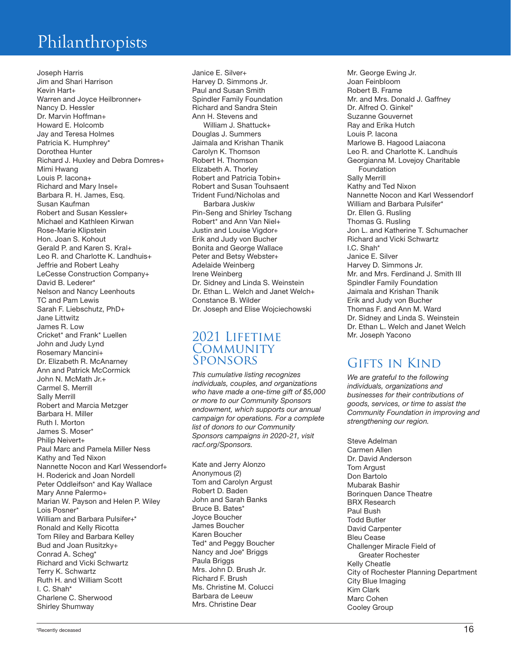Joseph Harris Jim and Shari Harrison Kevin Hart+ Warren and Joyce Heilbronner+ Nancy D. Hessler Dr. Marvin Hoffman+ Howard E. Holcomb Jay and Teresa Holmes Patricia K. Humphrey\* Dorothea Hunter Richard J. Huxley and Debra Domres+ Mimi Hwang Louis P. Iacona+ Richard and Mary Insel+ Barbara R. H. James, Esq. Susan Kaufman Robert and Susan Kessler+ Michael and Kathleen Kirwan Rose-Marie Klipstein Hon. Joan S. Kohout Gerald P. and Karen S. Kral+ Leo R. and Charlotte K. Landhuis+ Jeffrie and Robert Leahy LeCesse Construction Company+ David B. Lederer\* Nelson and Nancy Leenhouts TC and Pam Lewis Sarah F. Liebschutz, PhD+ Jane Littwitz James R. Low Cricket\* and Frank\* Luellen John and Judy Lynd Rosemary Mancini+ Dr. Elizabeth R. McAnarney Ann and Patrick McCormick John N. McMath Jr.+ Carmel S. Merrill Sally Merrill Robert and Marcia Metzger Barbara H. Miller Ruth I. Morton James S. Moser\* Philip Neivert+ Paul Marc and Pamela Miller Ness Kathy and Ted Nixon Nannette Nocon and Karl Wessendorf+ H. Roderick and Joan Nordell Peter Oddleifson\* and Kay Wallace Mary Anne Palermo+ Marian W. Payson and Helen P. Wiley Lois Posner\* William and Barbara Pulsifer+\* Ronald and Kelly Ricotta Tom Riley and Barbara Kelley Bud and Joan Rusitzky+ Conrad A. Scheg\* Richard and Vicki Schwartz Terry K. Schwartz Ruth H. and William Scott I. C. Shah\* Charlene C. Sherwood Shirley Shumway

Janice E. Silver+ Harvey D. Simmons Jr. Paul and Susan Smith Spindler Family Foundation Richard and Sandra Stein Ann H. Stevens and William J. Shattuck+ Douglas J. Summers Jaimala and Krishan Thanik Carolyn K. Thomson Robert H. Thomson Elizabeth A. Thorley Robert and Patricia Tobin+ Robert and Susan Touhsaent Trident Fund/Nicholas and Barbara Juskiw Pin-Seng and Shirley Tschang Robert\* and Ann Van Niel+ Justin and Louise Vigdor+ Erik and Judy von Bucher Bonita and George Wallace Peter and Betsy Webster+ Adelaide Weinberg Irene Weinberg Dr. Sidney and Linda S. Weinstein Dr. Ethan L. Welch and Janet Welch+ Constance B. Wilder Dr. Joseph and Elise Wojciechowski

#### 2021 Lifetime **COMMUNITY** Sponsors

*This cumulative listing recognizes individuals, couples, and organizations who have made a one-time gift of \$5,000 or more to our Community Sponsors endowment, which supports our annual campaign for operations. For a complete list of donors to our Community Sponsors campaigns in 2020-21, visit racf.org/Sponsors.*

Kate and Jerry Alonzo Anonymous (2) Tom and Carolyn Argust Robert D. Baden John and Sarah Banks Bruce B. Bates\* Joyce Boucher James Boucher Karen Boucher Ted\* and Peggy Boucher Nancy and Joe\* Briggs Paula Briggs Mrs. John D. Brush Jr. Richard F. Brush Ms. Christine M. Colucci Barbara de Leeuw Mrs. Christine Dear

Mr. George Ewing Jr. Joan Feinbloom Robert B. Frame Mr. and Mrs. Donald J. Gaffney Dr. Alfred O. Ginkel\* Suzanne Gouvernet Ray and Erika Hutch Louis P. Iacona Marlowe B. Hagood Laiacona Leo R. and Charlotte K. Landhuis Georgianna M. Lovejoy Charitable Foundation Sally Merrill Kathy and Ted Nixon Nannette Nocon and Karl Wessendorf William and Barbara Pulsifer\* Dr. Ellen G. Rusling Thomas G. Rusling Jon L. and Katherine T. Schumacher Richard and Vicki Schwartz I.C. Shah\* Janice E. Silver Harvey D. Simmons Jr. Mr. and Mrs. Ferdinand J. Smith III Spindler Family Foundation Jaimala and Krishan Thanik Erik and Judy von Bucher Thomas F. and Ann M. Ward Dr. Sidney and Linda S. Weinstein Dr. Ethan L. Welch and Janet Welch Mr. Joseph Yacono

#### Gifts in Kind

*We are grateful to the following individuals, organizations and businesses for their contributions of goods, services, or time to assist the Community Foundation in improving and strengthening our region.*

Steve Adelman Carmen Allen Dr. David Anderson Tom Argust Don Bartolo Mubarak Bashir Borinquen Dance Theatre BRX Research Paul Bush Todd Butler David Carpenter Bleu Cease Challenger Miracle Field of Greater Rochester Kelly Cheatle City of Rochester Planning Department City Blue Imaging Kim Clark Marc Cohen Cooley Group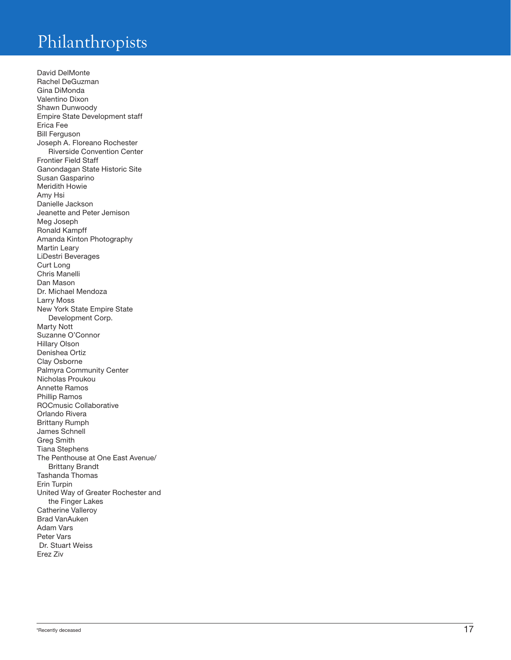David DelMonte Rachel DeGuzman Gina DiMonda Valentino Dixon Shawn Dunwoody Empire State Development staff Erica Fee Bill Ferguson Joseph A. Floreano Rochester Riverside Convention Center Frontier Field Staff Ganondagan State Historic Site Susan Gasparino Meridith Howie Amy Hsi Danielle Jackson Jeanette and Peter Jemison Meg Joseph Ronald Kampff Amanda Kinton Photography Martin Leary LiDestri Beverages Curt Long Chris Manelli Dan Mason Dr. Michael Mendoza Larry Moss New York State Empire State Development Corp. Marty Nott Suzanne O'Connor Hillary Olson Denishea Ortiz Clay Osborne Palmyra Community Center Nicholas Proukou Annette Ramos Phillip Ramos ROCmusic Collaborative Orlando Rivera Brittany Rumph James Schnell Greg Smith Tiana Stephens The Penthouse at One East Avenue/ Brittany Brandt Tashanda Thomas Erin Turpin United Way of Greater Rochester and the Finger Lakes Catherine Valleroy Brad VanAuken Adam Vars Peter Vars Dr. Stuart Weiss Erez Ziv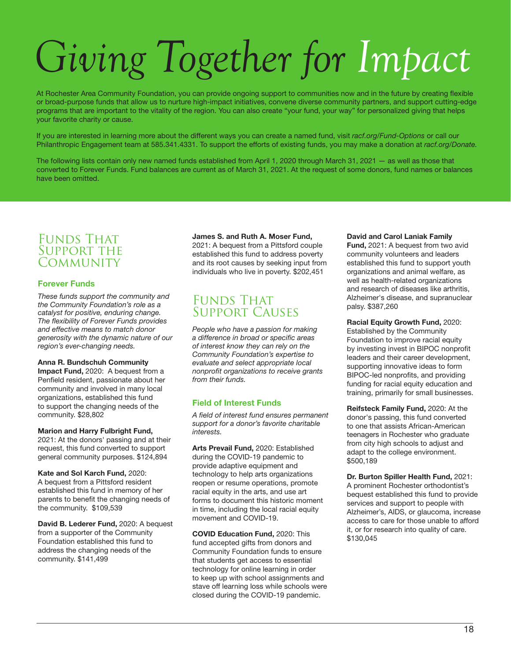## *Giving Together for Impact*

At Rochester Area Community Foundation, you can provide ongoing support to communities now and in the future by creating flexible or broad-purpose funds that allow us to nurture high-impact initiatives, convene diverse community partners, and support cutting-edge programs that are important to the vitality of the region. You can also create "your fund, your way" for personalized giving that helps your favorite charity or cause.

If you are interested in learning more about the different ways you can create a named fund, visit *racf.org/Fund-Options* or call our Philanthropic Engagement team at 585.341.4331. To support the efforts of existing funds, you may make a donation at *racf.org/Donate.*

The following lists contain only new named funds established from April 1, 2020 through March 31, 2021 — as well as those that converted to Forever Funds. Fund balances are current as of March 31, 2021. At the request of some donors, fund names or balances have been omitted.

#### FUNDS THAT SUPPORT THE **COMMUNITY**

#### Forever Funds

*These funds support the community and the Community Foundation's role as a catalyst for positive, enduring change. The flexibility of Forever Funds provides and effective means to match donor generosity with the dynamic nature of our region's ever-changing needs.* 

#### Anna R. Bundschuh Community

Impact Fund, 2020: A bequest from a Penfield resident, passionate about her community and involved in many local organizations, established this fund to support the changing needs of the community. \$28,802

#### Marion and Harry Fulbright Fund,

2021: At the donors' passing and at their request, this fund converted to support general community purposes. \$124,894

Kate and Sol Karch Fund, 2020: A bequest from a Pittsford resident established this fund in memory of her parents to benefit the changing needs of the community. \$109,539

David B. Lederer Fund, 2020: A bequest from a supporter of the Community Foundation established this fund to address the changing needs of the community. \$141,499

#### James S. and Ruth A. Moser Fund,

2021: A bequest from a Pittsford couple established this fund to address poverty and its root causes by seeking input from individuals who live in poverty. \$202,451

#### **FUNDS THAT** Support Causes

*People who have a passion for making a difference in broad or specific areas of interest know they can rely on the Community Foundation's expertise to evaluate and select appropriate local nonprofit organizations to receive grants from their funds.*

#### Field of Interest Funds

*A field of interest fund ensures permanent support for a donor's favorite charitable interests.*

Arts Prevail Fund, 2020: Established during the COVID-19 pandemic to provide adaptive equipment and technology to help arts organizations reopen or resume operations, promote racial equity in the arts, and use art forms to document this historic moment in time, including the local racial equity movement and COVID-19.

COVID Education Fund, 2020: This fund accepted gifts from donors and Community Foundation funds to ensure that students get access to essential technology for online learning in order to keep up with school assignments and stave off learning loss while schools were closed during the COVID-19 pandemic.

#### David and Carol Laniak Family

Fund, 2021: A bequest from two avid community volunteers and leaders established this fund to support youth organizations and animal welfare, as well as health-related organizations and research of diseases like arthritis, Alzheimer's disease, and supranuclear palsy. \$387,260

Racial Equity Growth Fund, 2020: Established by the Community Foundation to improve racial equity by investing invest in BIPOC nonprofit leaders and their career development, supporting innovative ideas to form BIPOC-led nonprofits, and providing funding for racial equity education and training, primarily for small businesses.

Reifsteck Family Fund, 2020: At the donor's passing, this fund converted to one that assists African-American teenagers in Rochester who graduate from city high schools to adjust and adapt to the college environment. \$500,189

Dr. Burton Spiller Health Fund, 2021: A prominent Rochester orthodontist's bequest established this fund to provide services and support to people with Alzheimer's, AIDS, or glaucoma, increase access to care for those unable to afford it, or for research into quality of care. \$130,045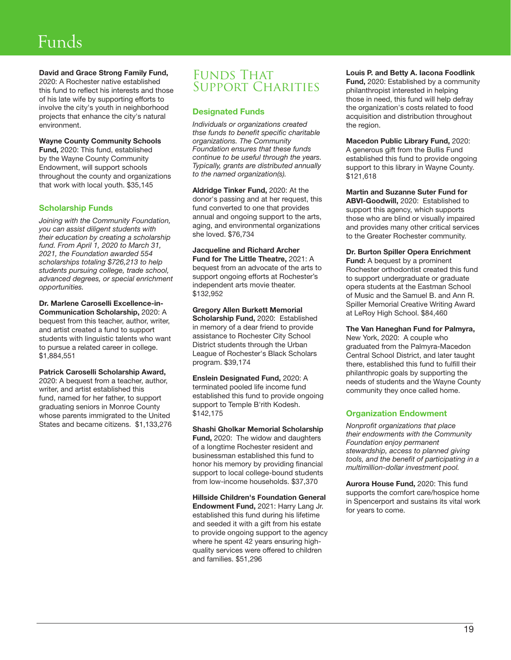## Funds

#### David and Grace Strong Family Fund,

2020: A Rochester native established this fund to reflect his interests and those of his late wife by supporting efforts to involve the city's youth in neighborhood projects that enhance the city's natural environment.

#### Wayne County Community Schools

Fund, 2020: This fund, established by the Wayne County Community Endowment, will support schools throughout the county and organizations that work with local youth. \$35,145

#### Scholarship Funds

*Joining with the Community Foundation, you can assist diligent students with their education by creating a scholarship fund. From April 1, 2020 to March 31, 2021, the Foundation awarded 554 scholarships totaling \$726,213 to help students pursuing college, trade school, advanced degrees, or special enrichment opportunities.*

Dr. Marlene Caroselli Excellence-in-Communication Scholarship, 2020: A bequest from this teacher, author, writer, and artist created a fund to support students with linguistic talents who want to pursue a related career in college. \$1,884,551

Patrick Caroselli Scholarship Award, 2020: A bequest from a teacher, author, writer, and artist established this fund, named for her father, to support graduating seniors in Monroe County whose parents immigrated to the United States and became citizens. \$1,133,276

#### FUNDS THAT SUPPORT CHARITIES

#### Designated Funds

*Individuals or organizations created thse funds to benefit specific charitable organizations. The Community Foundation ensures that these funds continue to be useful through the years. Typically, grants are distributed annually to the named organization(s).*

Aldridge Tinker Fund, 2020: At the donor's passing and at her request, this fund converted to one that provides annual and ongoing support to the arts, aging, and environmental organizations she loved. \$76,734

Jacqueline and Richard Archer Fund for The Little Theatre, 2021: A bequest from an advocate of the arts to support ongoing efforts at Rochester's independent arts movie theater. \$132,952

Gregory Allen Burkett Memorial Scholarship Fund, 2020: Established in memory of a dear friend to provide assistance to Rochester City School District students through the Urban League of Rochester's Black Scholars program. \$39,174

Enslein Designated Fund, 2020: A terminated pooled life income fund established this fund to provide ongoing support to Temple B'rith Kodesh. \$142,175

Shashi Gholkar Memorial Scholarship Fund, 2020: The widow and daughters of a longtime Rochester resident and businessman established this fund to honor his memory by providing financial support to local college-bound students from low-income households. \$37,370

Hillside Children's Foundation General Endowment Fund, 2021: Harry Lang Jr. established this fund during his lifetime and seeded it with a gift from his estate to provide ongoing support to the agency where he spent 42 years ensuring highquality services were offered to children and families. \$51,296

#### Louis P. and Betty A. Iacona Foodlink

Fund, 2020: Established by a community philanthropist interested in helping those in need, this fund will help defray the organization's costs related to food acquisition and distribution throughout the region.

Macedon Public Library Fund, 2020: A generous gift from the Bullis Fund established this fund to provide ongoing support to this library in Wayne County. \$121,618

Martin and Suzanne Suter Fund for ABVI-Goodwill, 2020: Established to support this agency, which supports those who are blind or visually impaired and provides many other critical services to the Greater Rochester community.

Dr. Burton Spiller Opera Enrichment Fund: A bequest by a prominent Rochester orthodontist created this fund to support undergraduate or graduate opera students at the Eastman School of Music and the Samuel B. and Ann R. Spiller Memorial Creative Writing Award at LeRoy High School. \$84,460

The Van Haneghan Fund for Palmyra, New York, 2020: A couple who graduated from the Palmyra-Macedon Central School District, and later taught there, established this fund to fulfill their philanthropic goals by supporting the needs of students and the Wayne County community they once called home.

#### Organization Endowment

*Nonprofit organizations that place their endowments with the Community Foundation enjoy permanent stewardship, access to planned giving tools, and the benefit of participating in a multimillion-dollar investment pool.*

Aurora House Fund, 2020: This fund supports the comfort care/hospice home in Spencerport and sustains its vital work for years to come.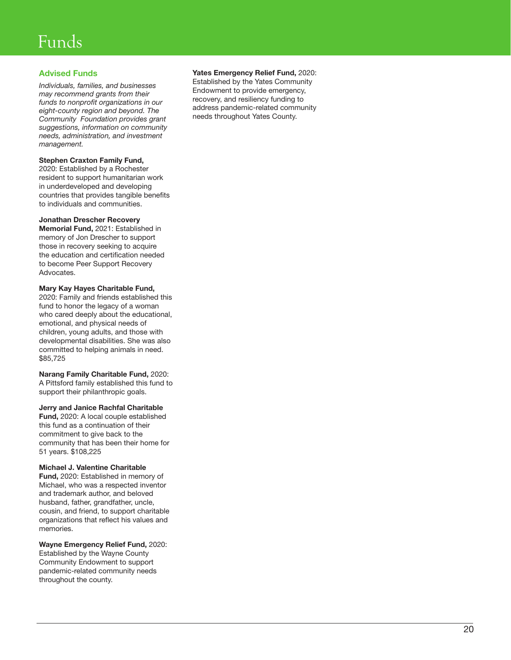## Funds

#### Advised Funds

*Individuals, families, and businesses may recommend grants from their funds to nonprofit organizations in our eight-county region and beyond. The Community Foundation provides grant suggestions, information on community needs, administration, and investment management.* 

#### Stephen Craxton Family Fund,

2020: Established by a Rochester resident to support humanitarian work in underdeveloped and developing countries that provides tangible benefits to individuals and communities.

#### Jonathan Drescher Recovery

Memorial Fund, 2021: Established in memory of Jon Drescher to support those in recovery seeking to acquire the education and certification needed to become Peer Support Recovery Advocates.

Mary Kay Hayes Charitable Fund, 2020: Family and friends established this fund to honor the legacy of a woman who cared deeply about the educational, emotional, and physical needs of children, young adults, and those with developmental disabilities. She was also committed to helping animals in need. \$85,725

Narang Family Charitable Fund, 2020: A Pittsford family established this fund to support their philanthropic goals.

Jerry and Janice Rachfal Charitable

Fund, 2020: A local couple established this fund as a continuation of their commitment to give back to the community that has been their home for 51 years. \$108,225

#### Michael J. Valentine Charitable

Fund, 2020: Established in memory of Michael, who was a respected inventor and trademark author, and beloved husband, father, grandfather, uncle, cousin, and friend, to support charitable organizations that reflect his values and memories.

Wayne Emergency Relief Fund, 2020: Established by the Wayne County Community Endowment to support pandemic-related community needs throughout the county.

#### Yates Emergency Relief Fund, 2020:

Established by the Yates Community Endowment to provide emergency, recovery, and resiliency funding to address pandemic-related community needs throughout Yates County.